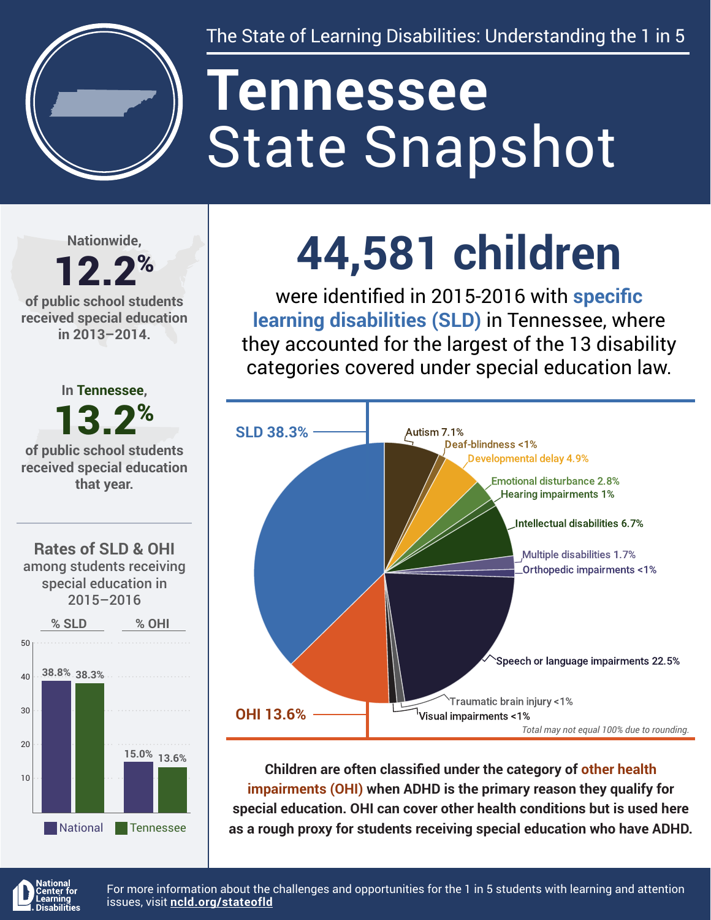

The State of Learning Disabilities: Understanding the 1 in 5

# State Snapshot **Tennessee**

**Nationwide,**

### 12.2% **of public school students**

**received special education in 2013–2014.**

**Rates of SLD & OHI** among students receiving special education in 2015–2016 50 **% SLD % OHI In Tennessee,** 13.2% **of public school students received special education that year.**



## **44,581 children**

were identified in 2015-2016 with **specific learning disabilities (SLD)** in Tennessee, where they accounted for the largest of the 13 disability categories covered under special education law.



**Children are often classified under the category of other health impairments (OHI) when ADHD is the primary reason they qualify for special education. OHI can cover other health conditions but is used here as a rough proxy for students receiving special education who have ADHD.**



For more information about the challenges and opportunities for the 1 in 5 students with learning and attention issues, visit **[ncld.org/stateofld](http://ncld.org/stateofld)**